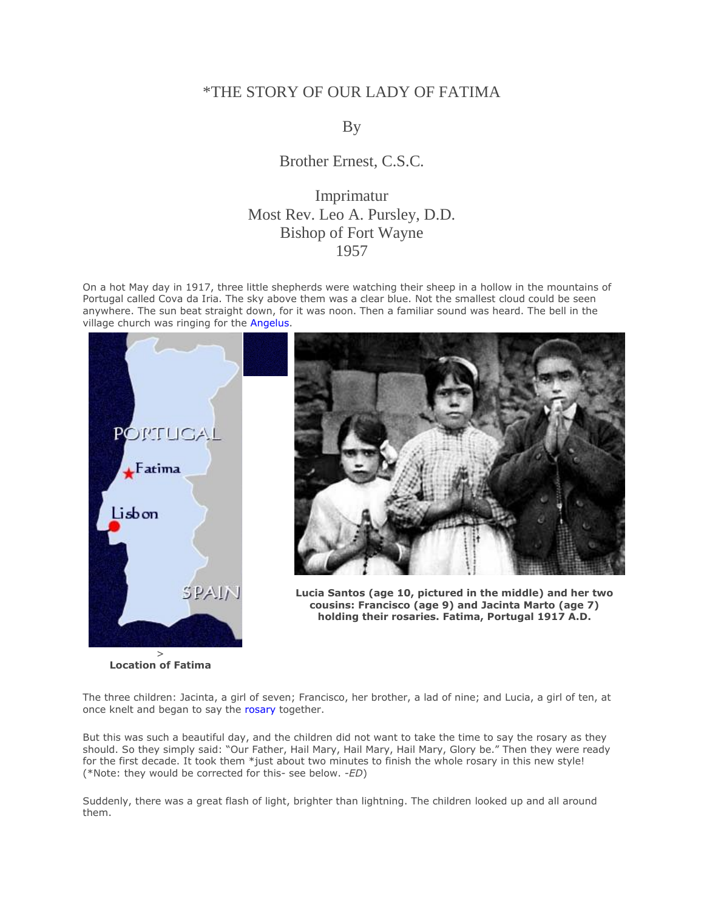# \*THE STORY OF OUR LADY OF FATIMA

## By

Brother Ernest, C.S.C.

# Imprimatur Most Rev. Leo A. Pursley, D.D. Bishop of Fort Wayne 1957

On a hot May day in 1917, three little shepherds were watching their sheep in a hollow in the mountains of Portugal called Cova da Iria. The sky above them was a clear blue. Not the smallest cloud could be seen anywhere. The sun beat straight down, for it was noon. Then a familiar sound was heard. The bell in the village church was ringing for the [Angelus.](http://www.themostholyrosary.com/appendix6.htm)



**Location of Fatima**



**Lucia Santos (age 10, pictured in the middle) and her two cousins: Francisco (age 9) and Jacinta Marto (age 7) holding their rosaries. Fatima, Portugal 1917 A.D.**

The three children: Jacinta, a girl of seven; Francisco, her brother, a lad of nine; and Lucia, a girl of ten, at once knelt and began to say the [rosary](http://www.themostholyrosary.com/) together.

But this was such a beautiful day, and the children did not want to take the time to say the rosary as they should. So they simply said: "Our Father, Hail Mary, Hail Mary, Hail Mary, Glory be." Then they were ready for the first decade. It took them \*just about two minutes to finish the whole rosary in this new style! (\*Note: they would be corrected for this- see below. -*ED*)

Suddenly, there was a great flash of light, brighter than lightning. The children looked up and all around them.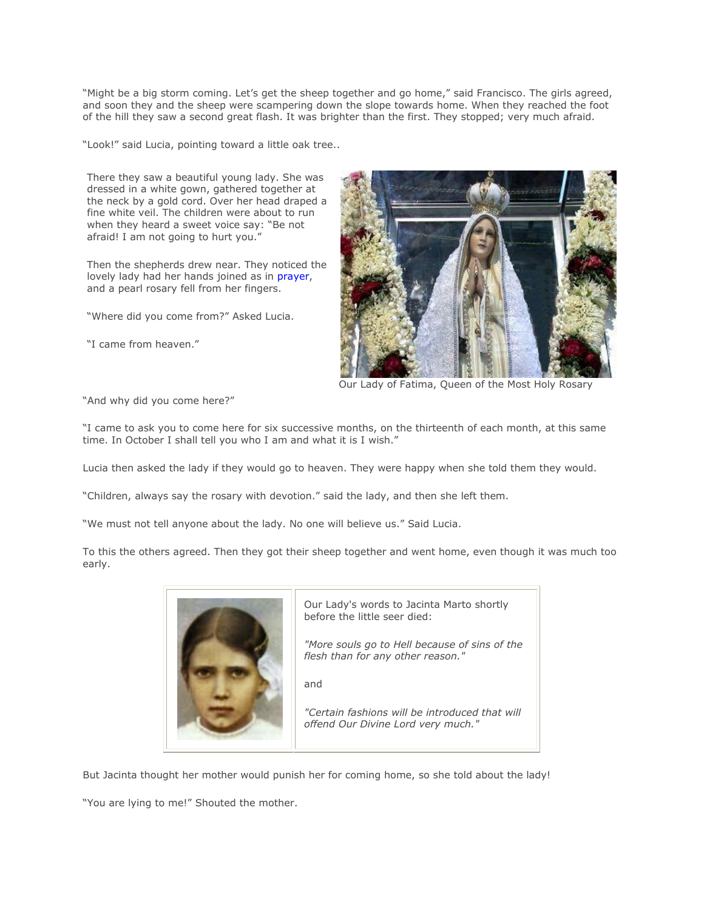"Might be a big storm coming. Let"s get the sheep together and go home," said Francisco. The girls agreed, and soon they and the sheep were scampering down the slope towards home. When they reached the foot of the hill they saw a second great flash. It was brighter than the first. They stopped; very much afraid.

"Look!" said Lucia, pointing toward a little oak tree..

There they saw a beautiful young lady. She was dressed in a white gown, gathered together at the neck by a gold cord. Over her head draped a fine white veil. The children were about to run when they heard a sweet voice say: "Be not afraid! I am not going to hurt you."

Then the shepherds drew near. They noticed the lovely lady had her hands joined as in [prayer,](http://www.baltimore-catechism.com/lesson28..htm) and a pearl rosary fell from her fingers.

"Where did you come from?" Asked Lucia.

"I came from heaven."



Our Lady of Fatima, Queen of the Most Holy Rosary

"And why did you come here?"

"I came to ask you to come here for six successive months, on the thirteenth of each month, at this same time. In October I shall tell you who I am and what it is I wish."

Lucia then asked the lady if they would go to heaven. They were happy when she told them they would.

"Children, always say the rosary with devotion." said the lady, and then she left them.

"We must not tell anyone about the lady. No one will believe us." Said Lucia.

To this the others agreed. Then they got their sheep together and went home, even though it was much too early.



Our Lady's words to Jacinta Marto shortly before the little seer died: *"More souls go to Hell because of sins of the flesh than for any other reason."*

and

*"Certain fashions will be introduced that will offend Our Divine Lord very much."*

But Jacinta thought her mother would punish her for coming home, so she told about the lady!

"You are lying to me!" Shouted the mother.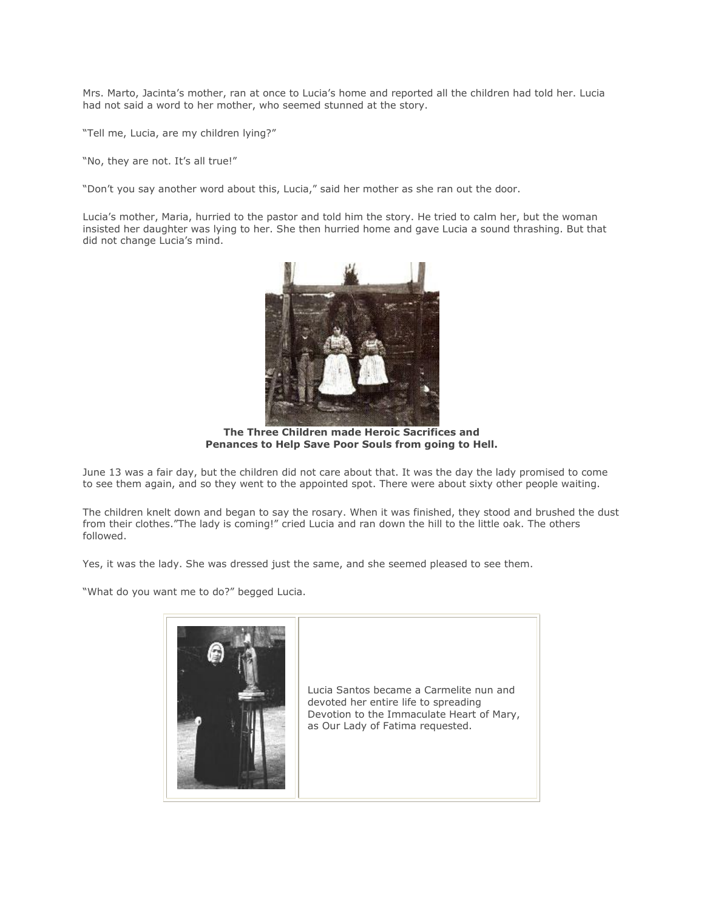Mrs. Marto, Jacinta"s mother, ran at once to Lucia"s home and reported all the children had told her. Lucia had not said a word to her mother, who seemed stunned at the story.

"Tell me, Lucia, are my children lying?"

"No, they are not. It's all true!"

"Don"t you say another word about this, Lucia," said her mother as she ran out the door.

Lucia's mother, Maria, hurried to the pastor and told him the story. He tried to calm her, but the woman insisted her daughter was lying to her. She then hurried home and gave Lucia a sound thrashing. But that did not change Lucia"s mind.



**The Three Children made Heroic Sacrifices and Penances to Help Save Poor Souls from going to Hell.**

June 13 was a fair day, but the children did not care about that. It was the day the lady promised to come to see them again, and so they went to the appointed spot. There were about sixty other people waiting.

The children knelt down and began to say the rosary. When it was finished, they stood and brushed the dust from their clothes."The lady is coming!" cried Lucia and ran down the hill to the little oak. The others followed.

Yes, it was the lady. She was dressed just the same, and she seemed pleased to see them.

"What do you want me to do?" begged Lucia.

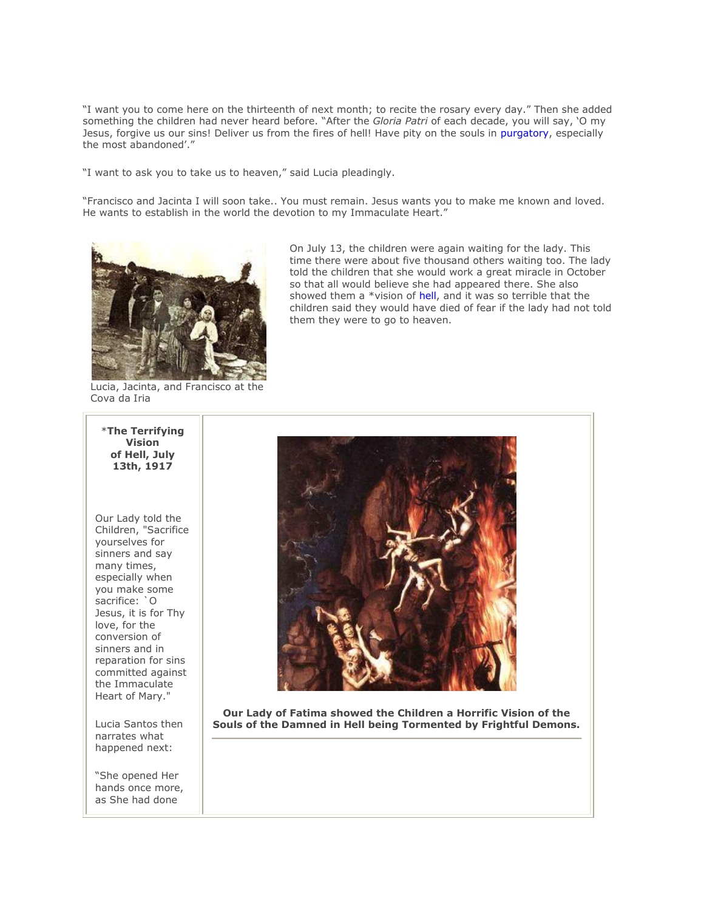"I want you to come here on the thirteenth of next month; to recite the rosary every day." Then she added something the children had never heard before. "After the *Gloria Patri* of each decade, you will say, "O my Jesus, forgive us our sins! Deliver us from the fires of hell! Have pity on the souls in [purgatory,](http://www.sufferingsouls.com/) especially the most abandoned'."

"I want to ask you to take us to heaven," said Lucia pleadingly.

"Francisco and Jacinta I will soon take.. You must remain. Jesus wants you to make me known and loved. He wants to establish in the world the devotion to my Immaculate Heart."



On July 13, the children were again waiting for the lady. This time there were about five thousand others waiting too. The lady told the children that she would work a great miracle in October so that all would believe she had appeared there. She also showed them a \*vision of [hell,](http://www.baltimore-catechism.com/lesson37.htm) and it was so terrible that the children said they would have died of fear if the lady had not told them they were to go to heaven.

Lucia, Jacinta, and Francisco at the Cova da Iria



Our Lady told the Children, "Sacrifice yourselves for sinners and say many times, especially when you make some sacrifice: `O Jesus, it is for Thy love, for the conversion of sinners and in reparation for sins committed against the Immaculate Heart of Mary."

Lucia Santos then narrates what happened next:

"She opened Her hands once more, as She had done



**Our Lady of Fatima showed the Children a Horrific Vision of the Souls of the Damned in Hell being Tormented by Frightful Demons.**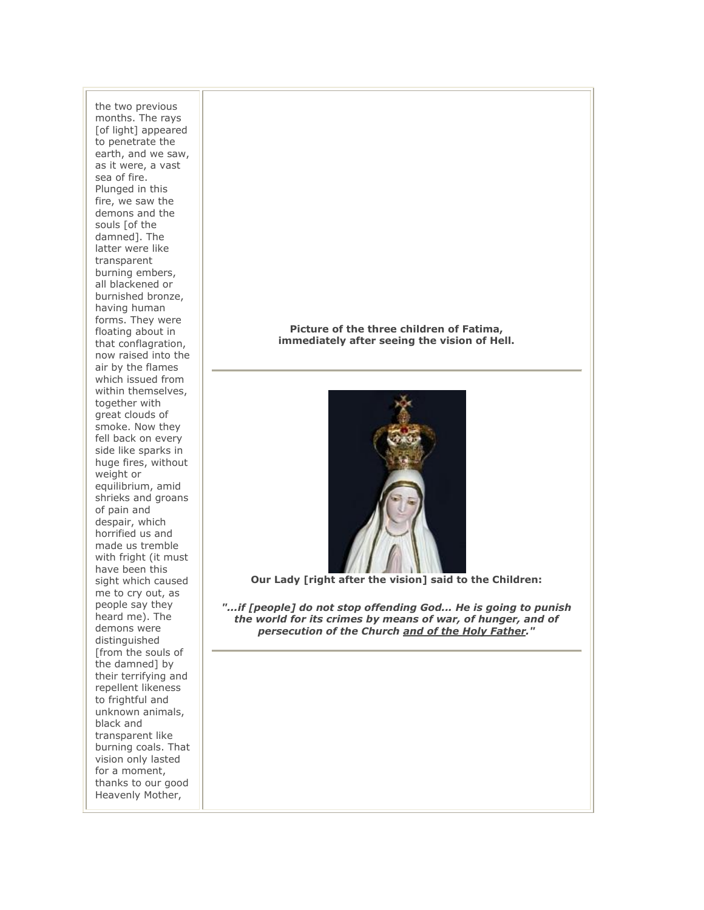the two previous months. The rays [of light] appeared to penetrate the earth, and we saw, as it were, a vast sea of fire. Plunged in this fire, we saw the demons and the souls [of the damned]. The latter were like transparent burning embers, all blackened or burnished bronze, having human forms. They were floating about in that conflagration, now raised into the air by the flames which issued from within themselves, together with great clouds of smoke. Now they fell back on every side like sparks in huge fires, without weight or equilibrium, amid shrieks and groans of pain and despair, which horrified us and made us tremble with fright (it must have been this sight which caused me to cry out, as people say they heard me). The demons were distinguished [from the souls of the damned] by their terrifying and repellent likeness to frightful and unknown animals, black and transparent like burning coals. That vision only lasted for a moment, thanks to our good Heavenly Mother,

**Picture of the three children of Fatima, immediately after seeing the vision of Hell.** 



**Our Lady [right after the vision] said to the Children:** 

*"...if [people] do not stop offending God... He is going to punish the world for its crimes by means of war, of hunger, and of persecution of the Church and of the Holy Father."*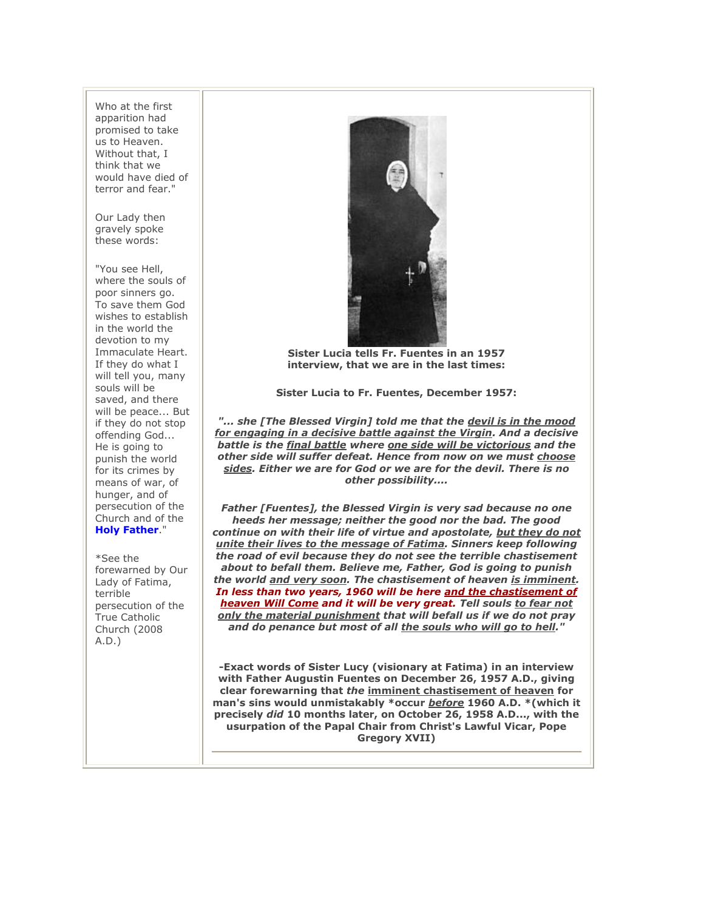Who at the first apparition had promised to take us to Heaven. Without that, I think that we would have died of terror and fear."

Our Lady then gravely spoke these words:

"You see Hell, where the souls of poor sinners go. To save them God wishes to establish in the world the devotion to my Immaculate Heart. If they do what I will tell you, many souls will be saved, and there will be peace... But if they do not stop offending God... He is going to punish the world for its crimes by means of war, of hunger, and of persecution of the Church and of the **[Holy Father](http://www.theimmaculateheart.com/gregoryXVII.htm)**."

\*See the forewarned by Our Lady of Fatima, terrible persecution of the True Catholic Church (2008 A.D.)



**Sister Lucia tells Fr. Fuentes in an 1957 interview, that we are in the last times:** 

**Sister Lucia to Fr. Fuentes, December 1957:** 

*"... she [The Blessed Virgin] told me that the devil is in the mood for engaging in a decisive battle against the Virgin. And a decisive battle is the final battle where one side will be victorious and the other side will suffer defeat. Hence from now on we must choose sides. Either we are for God or we are for the devil. There is no other possibility....* 

*Father [Fuentes], the Blessed Virgin is very sad because no one heeds her message; neither the good nor the bad. The good continue on with their life of virtue and apostolate, but they do not unite their lives to the message of Fatima. Sinners keep following the road of evil because they do not see the terrible chastisement about to befall them. Believe me, Father, God is going to punish the world and very soon. The chastisement of heaven is imminent. In less than two years, 1960 will be here and the chastisement of heaven Will Come and it will be very great. Tell souls to fear not only the material punishment that will befall us if we do not pray and do penance but most of all the souls who will go to hell."*

**-Exact words of Sister Lucy (visionary at Fatima) in an interview with Father Augustin Fuentes on December 26, 1957 A.D., giving clear forewarning that** *the* **imminent chastisement of heaven for man's sins would unmistakably \*occur** *before* **1960 A.D. \*(which it precisely** *did* **10 months later, on October 26, 1958 A.D..., with the usurpation of the Papal Chair from Christ's Lawful Vicar, Pope Gregory XVII)**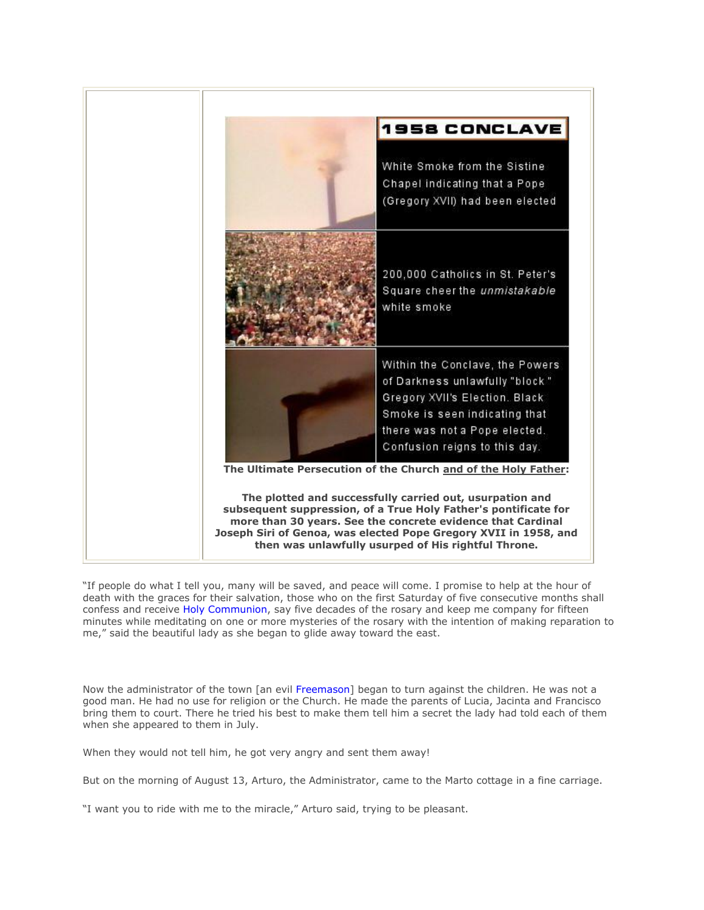

"If people do what I tell you, many will be saved, and peace will come. I promise to help at the hour of death with the graces for their salvation, those who on the first Saturday of five consecutive months shall confess and receive [Holy Communion,](http://www.theholymass.com/) say five decades of the rosary and keep me company for fifteen minutes while meditating on one or more mysteries of the rosary with the intention of making reparation to me," said the beautiful lady as she began to glide away toward the east.

Now the administrator of the town [an evil [Freemason\]](http://www.destroyfreemasonry.com/index.htm) began to turn against the children. He was not a good man. He had no use for religion or the Church. He made the parents of Lucia, Jacinta and Francisco bring them to court. There he tried his best to make them tell him a secret the lady had told each of them when she appeared to them in July.

When they would not tell him, he got very angry and sent them away!

But on the morning of August 13, Arturo, the Administrator, came to the Marto cottage in a fine carriage.

"I want you to ride with me to the miracle," Arturo said, trying to be pleasant.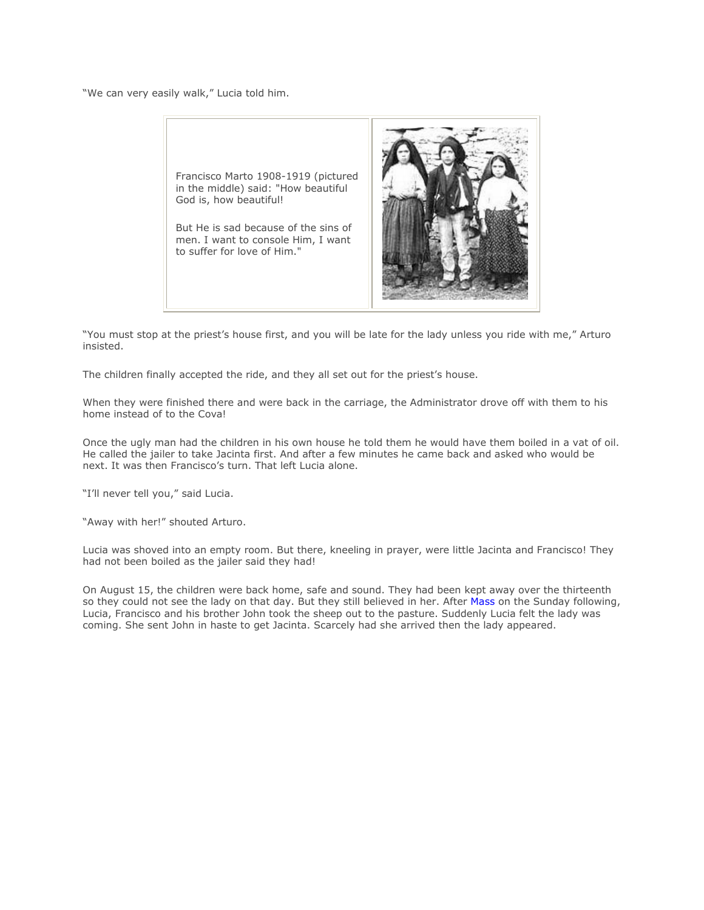"We can very easily walk," Lucia told him.



"You must stop at the priest"s house first, and you will be late for the lady unless you ride with me," Arturo insisted.

The children finally accepted the ride, and they all set out for the priest's house.

When they were finished there and were back in the carriage, the Administrator drove off with them to his home instead of to the Cova!

Once the ugly man had the children in his own house he told them he would have them boiled in a vat of oil. He called the jailer to take Jacinta first. And after a few minutes he came back and asked who would be next. It was then Francisco's turn. That left Lucia alone.

"I'll never tell you," said Lucia.

"Away with her!" shouted Arturo.

Lucia was shoved into an empty room. But there, kneeling in prayer, were little Jacinta and Francisco! They had not been boiled as the jailer said they had!

On August 15, the children were back home, safe and sound. They had been kept away over the thirteenth so they could not see the lady on that day. But they still believed in her. After [Mass](http://www.thecounciloftrent.com/ch22.htm) on the Sunday following, Lucia, Francisco and his brother John took the sheep out to the pasture. Suddenly Lucia felt the lady was coming. She sent John in haste to get Jacinta. Scarcely had she arrived then the lady appeared.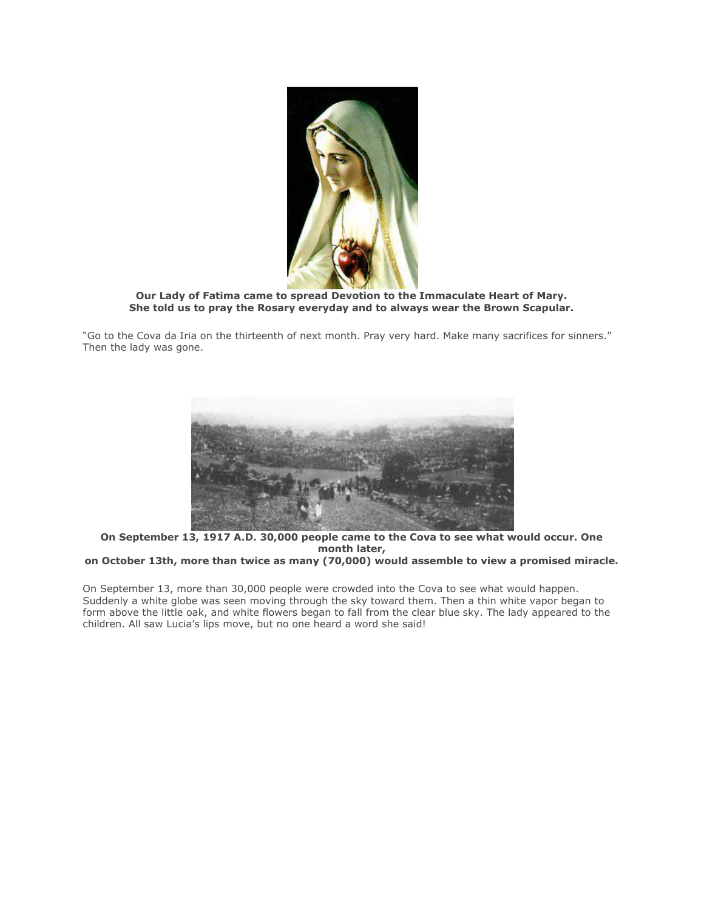

**Our Lady of Fatima came to spread Devotion to the Immaculate Heart of Mary. She told us to pray the Rosary everyday and to always wear the Brown Scapular.**

"Go to the Cova da Iria on the thirteenth of next month. Pray very hard. Make many sacrifices for sinners." Then the lady was gone.



**On September 13, 1917 A.D. 30,000 people came to the Cova to see what would occur. One month later,**

**on October 13th, more than twice as many (70,000) would assemble to view a promised miracle.**

On September 13, more than 30,000 people were crowded into the Cova to see what would happen. Suddenly a white globe was seen moving through the sky toward them. Then a thin white vapor began to form above the little oak, and white flowers began to fall from the clear blue sky. The lady appeared to the children. All saw Lucia's lips move, but no one heard a word she said!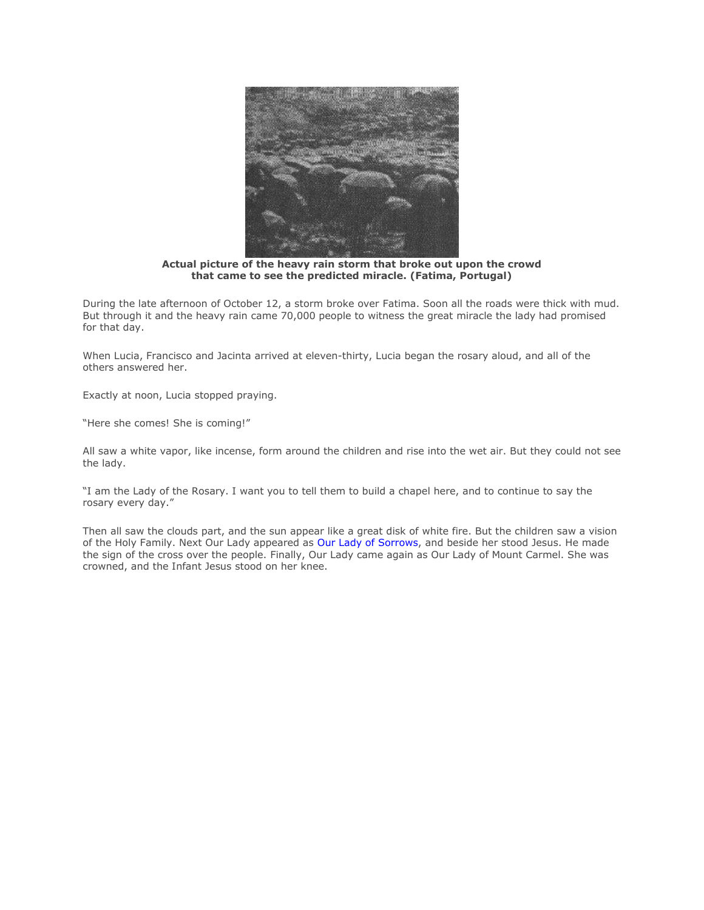

**Actual picture of the heavy rain storm that broke out upon the crowd that came to see the predicted miracle. (Fatima, Portugal)**

During the late afternoon of October 12, a storm broke over Fatima. Soon all the roads were thick with mud. But through it and the heavy rain came 70,000 people to witness the great miracle the lady had promised for that day.

When Lucia, Francisco and Jacinta arrived at eleven-thirty, Lucia began the rosary aloud, and all of the others answered her.

Exactly at noon, Lucia stopped praying.

"Here she comes! She is coming!"

All saw a white vapor, like incense, form around the children and rise into the wet air. But they could not see the lady.

"I am the Lady of the Rosary. I want you to tell them to build a chapel here, and to continue to say the rosary every day."

Then all saw the clouds part, and the sun appear like a great disk of white fire. But the children saw a vision of the Holy Family. Next Our Lady appeared as [Our Lady of Sorrows,](http://www.themostholyrosary.com/appendix1.htm) and beside her stood Jesus. He made the sign of the cross over the people. Finally, Our Lady came again as Our Lady of Mount Carmel. She was crowned, and the Infant Jesus stood on her knee.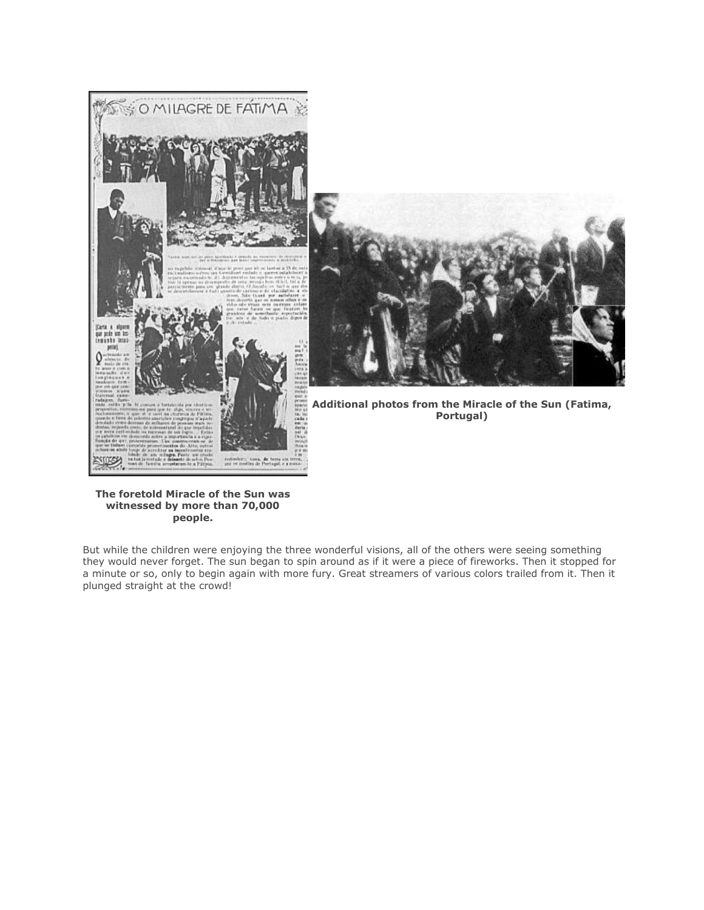



**Additional photos from the Miracle of the Sun (Fatima, Portugal)**

## **The foretold Miracle of the Sun was witnessed by more than 70,000 people.**

But while the children were enjoying the three wonderful visions, all of the others were seeing something they would never forget. The sun began to spin around as if it were a piece of fireworks. Then it stopped for a minute or so, only to begin again with more fury. Great streamers of various colors trailed from it. Then it plunged straight at the crowd!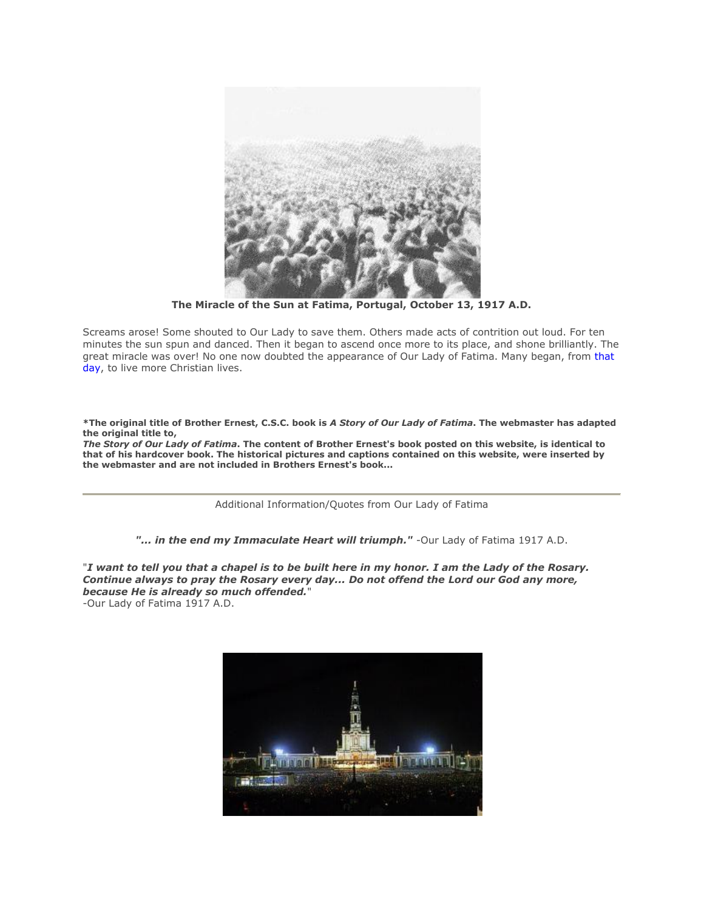

**The Miracle of the Sun at Fatima, Portugal, October 13, 1917 A.D.**

Screams arose! Some shouted to Our Lady to save them. Others made acts of contrition out loud. For ten minutes the sun spun and danced. Then it began to ascend once more to its place, and shone brilliantly. The great miracle was over! No one now doubted the appearance of Our Lady of Fatima. Many began, from that [day,](http://www.trueletterofoursavior.com/stleonard.htm) to live more Christian lives.

**\*The original title of Brother Ernest, C.S.C. book is** *A Story of Our Lady of Fatima***. The webmaster has adapted the original title to,**

*The Story of Our Lady of Fatima***. The content of Brother Ernest's book posted on this website, is identical to that of his hardcover book. The historical pictures and captions contained on this website, were inserted by the webmaster and are not included in Brothers Ernest's book...** 

Additional Information/Quotes from Our Lady of Fatima

*"... in the end my Immaculate Heart will triumph."* -Our Lady of Fatima 1917 A.D.

"*I want to tell you that a chapel is to be built here in my honor. I am the Lady of the Rosary. Continue always to pray the Rosary every day... Do not offend the Lord our God any more, because He is already so much offended.*" -Our Lady of Fatima 1917 A.D.